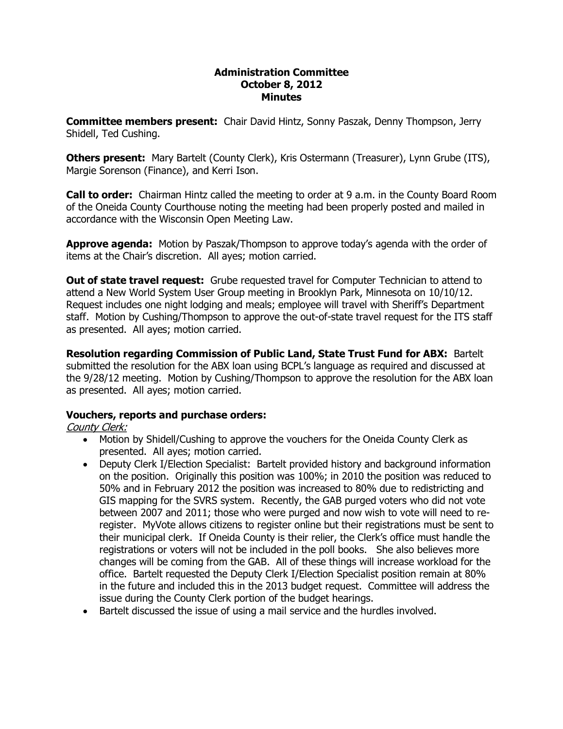#### **Administration Committee October 8, 2012 Minutes**

**Committee members present:**  Chair David Hintz, Sonny Paszak, Denny Thompson, Jerry Shidell, Ted Cushing.

**Others present:**  Mary Bartelt (County Clerk), Kris Ostermann (Treasurer), Lynn Grube (ITS), Margie Sorenson (Finance), and Kerri Ison.

**Call to order:**  Chairman Hintz called the meeting to order at 9 a.m. in the County Board Room of the Oneida County Courthouse noting the meeting had been properly posted and mailed in accordance with the Wisconsin Open Meeting Law.

**Approve agenda:** Motion by Paszak/Thompson to approve today's agenda with the order of items at the Chair's discretion. All ayes; motion carried.

**Out of state travel request:**  Grube requested travel for Computer Technician to attend to attend a New World System User Group meeting in Brooklyn Park, Minnesota on 10/10/12. Request includes one night lodging and meals; employee will travel with Sheriff's Department staff. Motion by Cushing/Thompson to approve the out-of-state travel request for the ITS staff as presented. All ayes; motion carried.

**Resolution regarding Commission of Public Land, State Trust Fund for ABX:** Bartelt submitted the resolution for the ABX loan using BCPL's language as required and discussed at the 9/28/12 meeting. Motion by Cushing/Thompson to approve the resolution for the ABX loan as presented. All ayes; motion carried.

# **Vouchers, reports and purchase orders:**

# County Clerk:

- · Motion by Shidell/Cushing to approve the vouchers for the Oneida County Clerk as presented. All ayes; motion carried.
- · Deputy Clerk I/Election Specialist: Bartelt provided history and background information on the position. Originally this position was 100%; in 2010 the position was reduced to 50% and in February 2012 the position was increased to 80% due to redistricting and GIS mapping for the SVRS system. Recently, the GAB purged voters who did not vote between 2007 and 2011; those who were purged and now wish to vote will need to re register. MyVote allows citizens to register online but their registrations must be sent to their municipal clerk. If Oneida County is their relier, the Clerk's office must handle the registrations or voters will not be included in the poll books. She also believes more changes will be coming from the GAB. All of these things will increase workload for the office. Bartelt requested the Deputy Clerk I/Election Specialist position remain at 80% in the future and included this in the 2013 budget request. Committee will address the issue during the County Clerk portion of the budget hearings.
- · Bartelt discussed the issue of using a mail service and the hurdles involved.